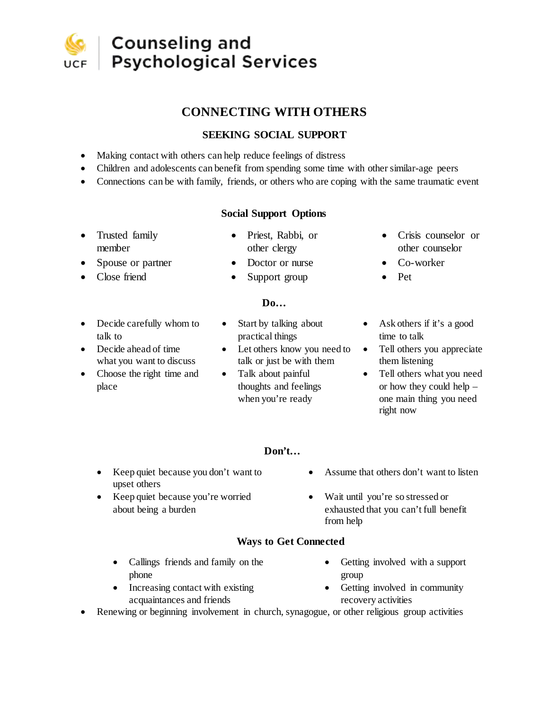

## **Counseling and Psychological Services**

## **CONNECTING WITH OTHERS**

## **SEEKING SOCIAL SUPPORT**

- Making contact with others can help reduce feelings of distress
- Children and adolescents can benefit from spending some time with other similar-age peers
- Connections can be with family, friends, or others who are coping with the same traumatic event

## **Social Support Options**

- Trusted family member
	- Spouse or partner Doctor or nurse Co-worker
- Close friend Support group Pet
- Priest, Rabbi, or other clergy
- - **Do…**
- Decide carefully whom to talk to
- Decide ahead of time what you want to discuss
- Choose the right time and place
- Start by talking about practical things
- Let others know you need to  $\bullet$ talk or just be with them
- Talk about painful thoughts and feelings when you're ready
- Crisis counselor or other counselor
- 
- 
- Ask others if it's a good time to talk
- Tell others you appreciate them listening
- Tell others what you need or how they could help – one main thing you need right now
- **Don't…**
- Keep quiet because you don't want to upset others
- Keep quiet because you're worried about being a burden
- Assume that others don't want to listen
- Wait until you're so stressed or exhausted that you can't full benefit from help

## **Ways to Get Connected**

- Callings friends and family on the phone
- Increasing contact with existing acquaintances and friends
- Getting involved with a support group
- Getting involved in community recovery activities
- Renewing or beginning involvement in church, synagogue, or other religious group activities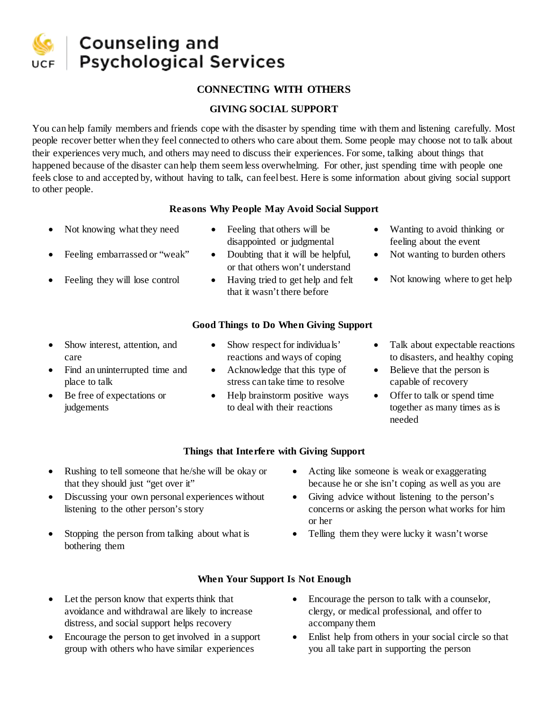

# **Counseling and Psychological Services**

## **CONNECTING WITH OTHERS**

## **GIVING SOCIAL SUPPORT**

You can help family members and friends cope with the disaster by spending time with them and listening carefully. Most people recover better when they feel connected to others who care about them. Some people may choose not to talk about their experiences very much, and others may need to discuss their experiences. For some, talking about things that happened because of the disaster can help them seem less overwhelming. For other, just spending time with people one feels close to and accepted by, without having to talk, can feel best. Here is some information about giving social support to other people.

#### **Reasons Why People May Avoid Social Support**

- 
- Feeling embarrassed or "weak" Doubting that it will be helpful,
- 
- Not knowing what they need Feeling that others will be disappointed or judgmental
	- or that others won't understand
	- Feeling they will lose control Having tried to get help and felt that it wasn't there before

## **Good Things to Do When Giving Support**

- Show interest, attention, and care
- Find an uninterrupted time and place to talk
- Be free of expectations or judgements
- Show respect for individuals' reactions and ways of coping
- Acknowledge that this type of stress can take time to resolve
- Help brainstorm positive ways to deal with their reactions
- Wanting to avoid thinking or feeling about the event
- Not wanting to burden others
- Not knowing where to get help
- Talk about expectable reactions to disasters, and healthy coping
- Believe that the person is capable of recovery
- Offer to talk or spend time together as many times as is needed

## **Things that Interfere with Giving Support**

- Rushing to tell someone that he/she will be okay or that they should just "get over it"
- Discussing your own personal experiences without listening to the other person's story
- Stopping the person from talking about what is bothering them
- Acting like someone is weak or exaggerating because he or she isn't coping as well as you are
- Giving advice without listening to the person's concerns or asking the person what works for him or her
- Telling them they were lucky it wasn't worse

## **When Your Support Is Not Enough**

- Let the person know that experts think that avoidance and withdrawal are likely to increase distress, and social support helps recovery
- Encourage the person to get involved in a support group with others who have similar experiences
- Encourage the person to talk with a counselor, clergy, or medical professional, and offer to accompany them
- Enlist help from others in your social circle so that you all take part in supporting the person